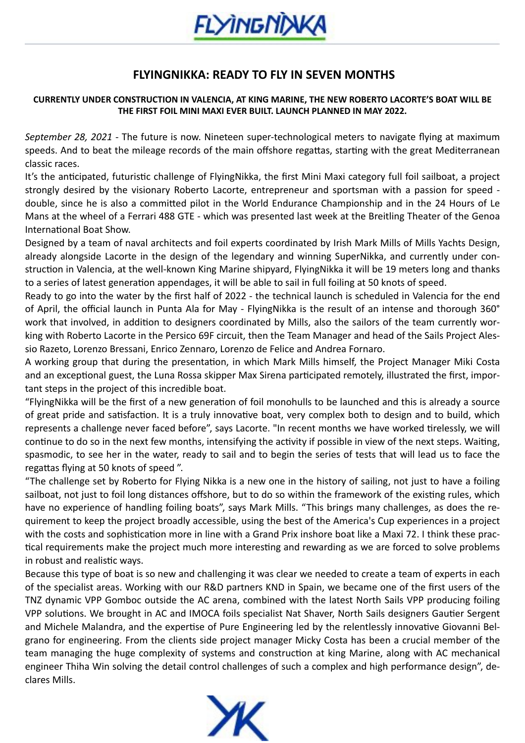

## **FLYINGNIKKA: READY TO FLY IN SEVEN MONTHS**

## **CURRENTLY UNDER CONSTRUCTION IN VALENCIA, AT KING MARINE, THE NEW ROBERTO LACORTE'S BOAT WILL BE THE FIRST FOIL MINI MAXI EVER BUILT. LAUNCH PLANNED IN MAY 2022.**

*September 28, 2021* - The future is now. Nineteen super-technological meters to navigate flying at maximum speeds. And to beat the mileage records of the main offshore regattas, starting with the great Mediterranean classic races.

It's the anticipated, futuristic challenge of FlyingNikka, the first Mini Maxi category full foil sailboat, a project strongly desired by the visionary Roberto Lacorte, entrepreneur and sportsman with a passion for speed double, since he is also a committed pilot in the World Endurance Championship and in the 24 Hours of Le Mans at the wheel of a Ferrari 488 GTE - which was presented last week at the Breitling Theater of the Genoa International Boat Show.

Designed by a team of naval architects and foil experts coordinated by Irish Mark Mills of Mills Yachts Design, already alongside Lacorte in the design of the legendary and winning SuperNikka, and currently under construction in Valencia, at the well-known King Marine shipyard, FlyingNikka it will be 19 meters long and thanks to a series of latest generation appendages, it will be able to sail in full foiling at 50 knots of speed.

Ready to go into the water by the first half of 2022 - the technical launch is scheduled in Valencia for the end of April, the official launch in Punta Ala for May - FlyingNikka is the result of an intense and thorough 360° work that involved, in addition to designers coordinated by Mills, also the sailors of the team currently working with Roberto Lacorte in the Persico 69F circuit, then the Team Manager and head of the Sails Project Alessio Razeto, Lorenzo Bressani, Enrico Zennaro, Lorenzo de Felice and Andrea Fornaro.

A working group that during the presentation, in which Mark Mills himself, the Project Manager Miki Costa and an exceptional guest, the Luna Rossa skipper Max Sirena participated remotely, illustrated the first, important steps in the project of this incredible boat.

"FlyingNikka will be the first of a new generation of foil monohulls to be launched and this is already a source of great pride and satisfaction. It is a truly innovative boat, very complex both to design and to build, which represents a challenge never faced before", says Lacorte. "In recent months we have worked tirelessly, we will continue to do so in the next few months, intensifying the activity if possible in view of the next steps. Waiting, spasmodic, to see her in the water, ready to sail and to begin the series of tests that will lead us to face the regattas flying at 50 knots of speed ".

"The challenge set by Roberto for Flying Nikka is a new one in the history of sailing, not just to have a foiling sailboat, not just to foil long distances offshore, but to do so within the framework of the existing rules, which have no experience of handling foiling boats", says Mark Mills. "This brings many challenges, as does the requirement to keep the project broadly accessible, using the best of the America's Cup experiences in a project with the costs and sophistication more in line with a Grand Prix inshore boat like a Maxi 72. I think these practical requirements make the project much more interesting and rewarding as we are forced to solve problems in robust and realistic ways.

Because this type of boat is so new and challenging it was clear we needed to create a team of experts in each of the specialist areas. Working with our R&D partners KND in Spain, we became one of the first users of the TNZ dynamic VPP Gomboc outside the AC arena, combined with the latest North Sails VPP producing foiling VPP solutions. We brought in AC and IMOCA foils specialist Nat Shaver, North Sails designers Gautier Sergent and Michele Malandra, and the expertise of Pure Engineering led by the relentlessly innovative Giovanni Belgrano for engineering. From the clients side project manager Micky Costa has been a crucial member of the team managing the huge complexity of systems and construction at king Marine, along with AC mechanical engineer Thiha Win solving the detail control challenges of such a complex and high performance design", declares Mills.